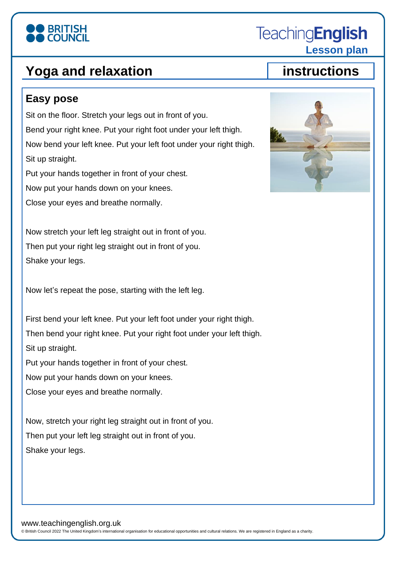# **BRITISH**

### **Yoga and relaxation instructions**

#### **Easy pose**

Sit on the floor. Stretch your legs out in front of you. Bend your right knee. Put your right foot under your left thigh. Now bend your left knee. Put your left foot under your right thigh. Sit up straight. Put your hands together in front of your chest. Now put your hands down on your knees.

Close your eyes and breathe normally.

Now stretch your left leg straight out in front of you. Then put your right leg straight out in front of you. Shake your legs.

Now let's repeat the pose, starting with the left leg.

First bend your left knee. Put your left foot under your right thigh. Then bend your right knee. Put your right foot under your left thigh. Sit up straight.

Put your hands together in front of your chest.

Now put your hands down on your knees.

Close your eyes and breathe normally.

Now, stretch your right leg straight out in front of you. Then put your left leg straight out in front of you. Shake your legs.

© British Council 2022 The United Kingdom's international organisation for educational opportunities and cultural relations. We are registered in England as a charity.

**TeachingEnglish** 

 **Lesson plan**



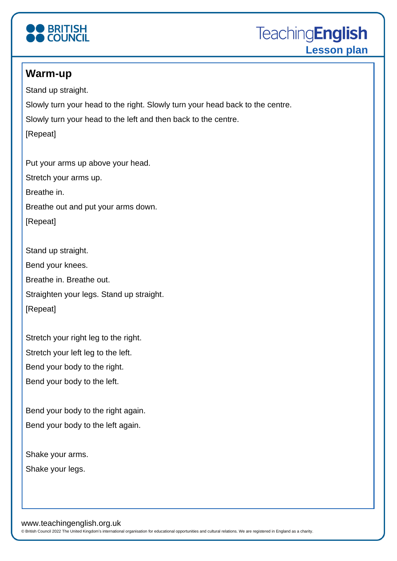

**TeachingEnglish Lesson plan**

#### **Warm-up**

Stand up straight. Slowly turn your head to the right. Slowly turn your head back to the centre. Slowly turn your head to the left and then back to the centre. [Repeat]

Put your arms up above your head. Stretch your arms up. Breathe in. Breathe out and put your arms down. [Repeat]

Stand up straight. Bend your knees. Breathe in. Breathe out. Straighten your legs. Stand up straight. [Repeat]

Stretch your right leg to the right. Stretch your left leg to the left. Bend your body to the right. Bend your body to the left.

Bend your body to the right again. Bend your body to the left again.

Shake your arms. Shake your legs.

www.teachingenglish.org.uk

© British Council 2022 The United Kingdom's international organisation for educational opportunities and cultural relations. We are registered in England as a charity.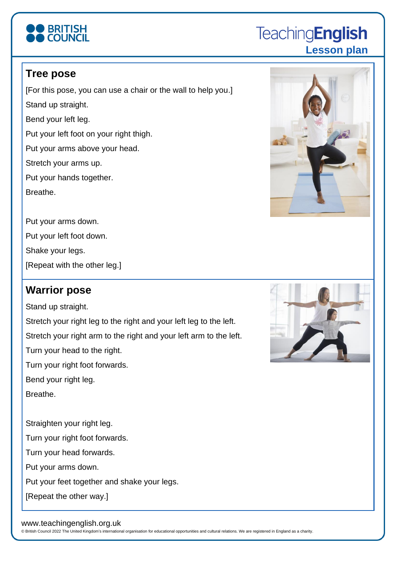# **BRITISH**

### **TeachingEnglish Lesson plan**

### **Tree pose**

[For this pose, you can use a chair or the wall to help you.] Stand up straight. Bend your left leg. Put your left foot on your right thigh. Put your arms above your head. Stretch your arms up. Put your hands together. Breathe.

Put your arms down.

Put your left foot down.

Shake your legs.

[Repeat with the other leg.]

#### **Warrior pose**

Stand up straight.

Stretch your right leg to the right and your left leg to the left. Stretch your right arm to the right and your left arm to the left. Turn your head to the right. Turn your right foot forwards. Bend your right leg. Breathe. Straighten your right leg. Turn your right foot forwards. Turn your head forwards. Put your arms down.

Put your feet together and shake your legs.

[Repeat the other way.]

#### www.teachingenglish.org.uk

© British Council 2022 The United Kingdom's international organisation for educational opportunities and cultural relations. We are registered in England as a charity.